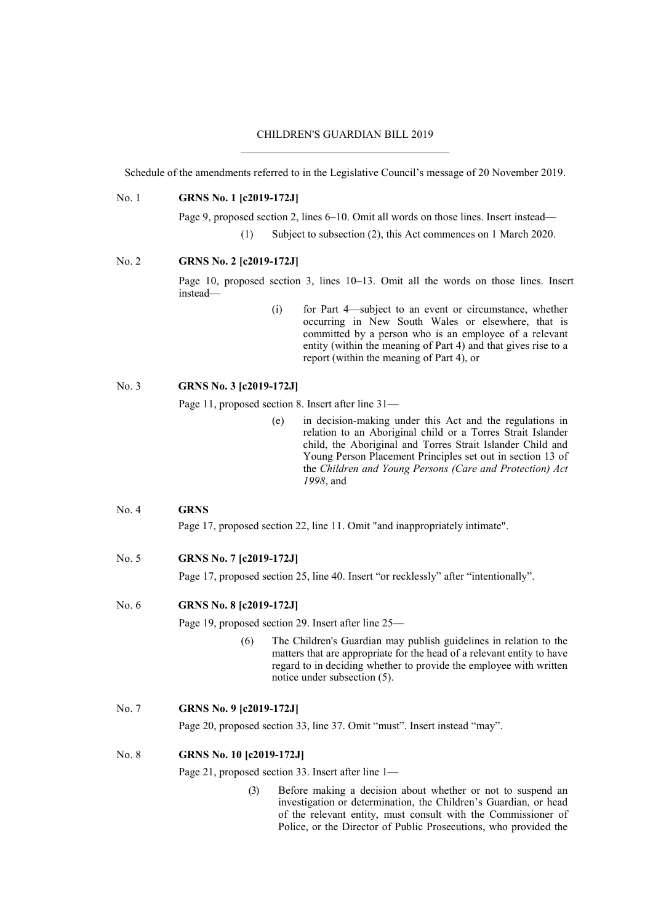### CHILDREN'S GUARDIAN BILL 2019  $\_$  . The contribution of the contribution of  $\mathcal{L}_\mathcal{A}$

Schedule of the amendments referred to in the Legislative Council's message of 20 November 2019.

#### No. 1 **GRNS No. 1 [c2019-172J]**

Page 9, proposed section 2, lines 6–10. Omit all words on those lines. Insert instead—

(1) Subject to subsection (2), this Act commences on 1 March 2020.

#### No. 2 **GRNS No. 2 [c2019-172J]**

Page 10, proposed section 3, lines 10–13. Omit all the words on those lines. Insert instead—

> (i) for Part 4—subject to an event or circumstance, whether occurring in New South Wales or elsewhere, that is committed by a person who is an employee of a relevant entity (within the meaning of Part 4) and that gives rise to a report (within the meaning of Part 4), or

### No. 3 **GRNS No. 3 [c2019-172J]**

Page 11, proposed section 8. Insert after line 31—

(e) in decision-making under this Act and the regulations in relation to an Aboriginal child or a Torres Strait Islander child, the Aboriginal and Torres Strait Islander Child and Young Person Placement Principles set out in section 13 of the *Children and Young Persons (Care and Protection) Act 1998*, and

### No. 4 **GRNS**

Page 17, proposed section 22, line 11. Omit "and inappropriately intimate".

# No. 5 **GRNS No. 7 [c2019-172J]**

Page 17, proposed section 25, line 40. Insert "or recklessly" after "intentionally".

#### No. 6 **GRNS No. 8 [c2019-172J]**

Page 19, proposed section 29. Insert after line 25—

(6) The Children's Guardian may publish guidelines in relation to the matters that are appropriate for the head of a relevant entity to have regard to in deciding whether to provide the employee with written notice under subsection (5).

#### No. 7 **GRNS No. 9 [c2019-172J]**

Page 20, proposed section 33, line 37. Omit "must". Insert instead "may".

## No. 8 **GRNS No. 10 [c2019-172J]**

Page 21, proposed section 33. Insert after line 1—

(3) Before making a decision about whether or not to suspend an investigation or determination, the Children's Guardian, or head of the relevant entity, must consult with the Commissioner of Police, or the Director of Public Prosecutions, who provided the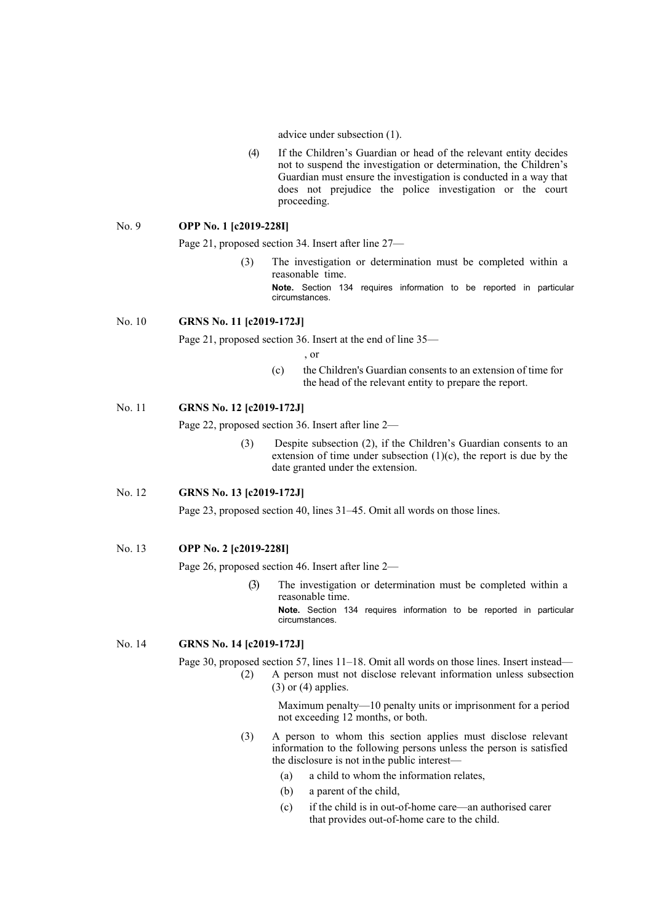advice under subsection (1).

(4) If the Children's Guardian or head of the relevant entity decides not to suspend the investigation or determination, the Children's Guardian must ensure the investigation is conducted in a way that does not prejudice the police investigation or the court proceeding.

#### No. 9 **OPP No. 1 [c2019-228I]**

Page 21, proposed section 34. Insert after line 27—

(3) The investigation or determination must be completed within a reasonable time. **Note.** Section 134 requires information to be reported in particular circumstances.

## No. 10 **GRNS No. 11 [c2019-172J]**

Page 21, proposed section 36. Insert at the end of line 35—

, or

(c) the Children's Guardian consents to an extension of time for the head of the relevant entity to prepare the report.

## No. 11 **GRNS No. 12 [c2019-172J]**

Page 22, proposed section 36. Insert after line 2—

(3) Despite subsection (2), if the Children's Guardian consents to an extension of time under subsection  $(1)(c)$ , the report is due by the date granted under the extension.

### No. 12 **GRNS No. 13 [c2019-172J]**

Page 23, proposed section 40, lines 31–45. Omit all words on those lines.

#### No. 13 **OPP No. 2 [c2019-228I]**

Page 26, proposed section 46. Insert after line 2—

(3) The investigation or determination must be completed within a reasonable time.

**Note.** Section 134 requires information to be reported in particular circumstances.

## No. 14 **GRNS No. 14 [c2019-172J]**

Page 30, proposed section 57, lines 11–18. Omit all words on those lines. Insert instead—

(2) A person must not disclose relevant information unless subsection  $(3)$  or  $(4)$  applies.

> Maximum penalty—10 penalty units or imprisonment for a period not exceeding 12 months, or both.

- (3) A person to whom this section applies must disclose relevant information to the following persons unless the person is satisfied the disclosure is not in the public interest-
	- (a) a child to whom the information relates,
	- (b) a parent of the child,
	- (c) if the child is in out-of-home care—an authorised carer that provides out-of-home care to the child.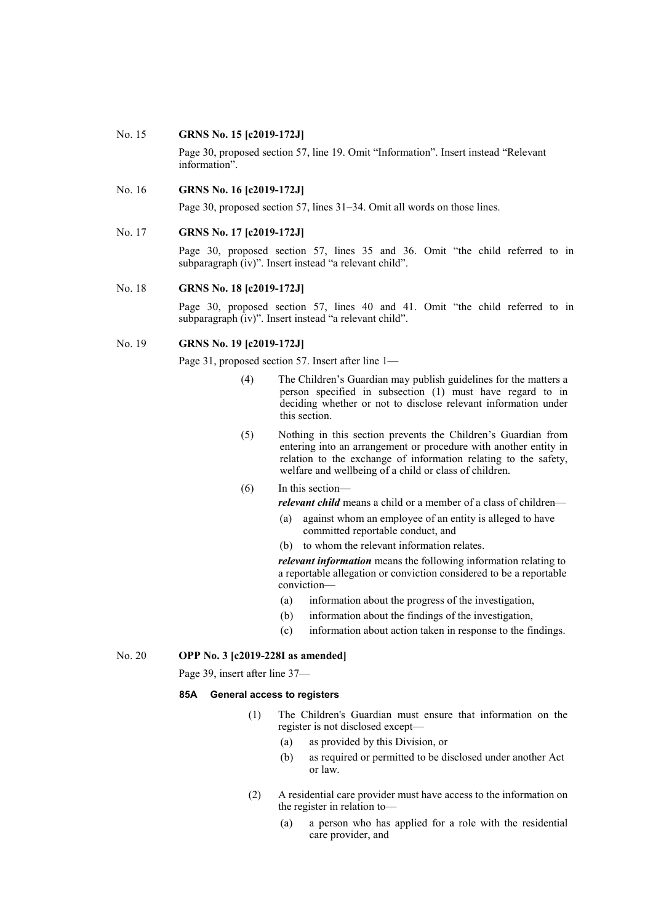#### No. 15 **GRNS No. 15 [c2019-172J]**

Page 30, proposed section 57, line 19. Omit "Information". Insert instead "Relevant information".

#### No. 16 **GRNS No. 16 [c2019-172J]**

Page 30, proposed section 57, lines 31–34. Omit all words on those lines.

#### No. 17 **GRNS No. 17 [c2019-172J]**

Page 30, proposed section 57, lines 35 and 36. Omit "the child referred to in subparagraph (iv)". Insert instead "a relevant child".

#### No. 18 **GRNS No. 18 [c2019-172J]**

Page 30, proposed section 57, lines 40 and 41. Omit "the child referred to in subparagraph (iv)". Insert instead "a relevant child".

### No. 19 **GRNS No. 19 [c2019-172J]**

Page 31, proposed section 57. Insert after line 1—

- (4) The Children's Guardian may publish guidelines for the matters a person specified in subsection (1) must have regard to in deciding whether or not to disclose relevant information under this section.
- (5) Nothing in this section prevents the Children's Guardian from entering into an arrangement or procedure with another entity in relation to the exchange of information relating to the safety, welfare and wellbeing of a child or class of children.

(6) In this section *relevant child* means a child or a member of a class of children—

- (a) against whom an employee of an entity is alleged to have committed reportable conduct, and
- (b) to whom the relevant information relates.

*relevant information* means the following information relating to a reportable allegation or conviction considered to be a reportable conviction—

- (a) information about the progress of the investigation,
- (b) information about the findings of the investigation,
- (c) information about action taken in response to the findings.

### No. 20 **OPP No. 3 [c2019-228I as amended]**

Page 39, insert after line 37—

#### **85A General access to registers**

- (1) The Children's Guardian must ensure that information on the register is not disclosed except—
	- (a) as provided by this Division, or
	- (b) as required or permitted to be disclosed under another Act or law.
- (2) A residential care provider must have access to the information on the register in relation to—
	- (a) a person who has applied for a role with the residential care provider, and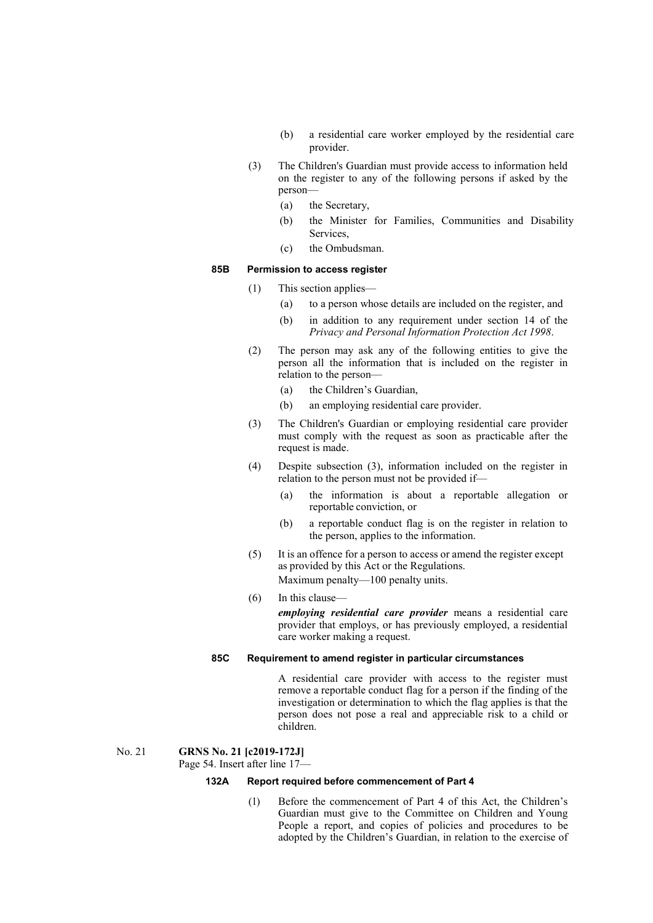- (b) a residential care worker employed by the residential care provider.
- (3) The Children's Guardian must provide access to information held on the register to any of the following persons if asked by the person—
	- (a) the Secretary,
	- (b) the Minister for Families, Communities and Disability Services,
	- (c) the Ombudsman.

# **85B Permission to access register**

- (1) This section applies—
	- (a) to a person whose details are included on the register, and
	- (b) in addition to any requirement under section 14 of the *Privacy and Personal Information Protection Act 1998*.
- (2) The person may ask any of the following entities to give the person all the information that is included on the register in relation to the person—
	- (a) the Children's Guardian,
	- (b) an employing residential care provider.
- (3) The Children's Guardian or employing residential care provider must comply with the request as soon as practicable after the request is made.
- (4) Despite subsection (3), information included on the register in relation to the person must not be provided if—
	- (a) the information is about a reportable allegation or reportable conviction, or
	- (b) a reportable conduct flag is on the register in relation to the person, applies to the information.
- (5) It is an offence for a person to access or amend the register except as provided by this Act or the Regulations. Maximum penalty—100 penalty units.
- (6) In this clause *employing residential care provider* means a residential care provider that employs, or has previously employed, a residential care worker making a request.

#### **85C Requirement to amend register in particular circumstances**

A residential care provider with access to the register must remove a reportable conduct flag for a person if the finding of the investigation or determination to which the flag applies is that the person does not pose a real and appreciable risk to a child or children.

### No. 21 **GRNS No. 21 [c2019-172J]**

Page 54. Insert after line 17—

#### **132A Report required before commencement of Part 4**

(1) Before the commencement of Part 4 of this Act, the Children's Guardian must give to the Committee on Children and Young People a report, and copies of policies and procedures to be adopted by the Children's Guardian, in relation to the exercise of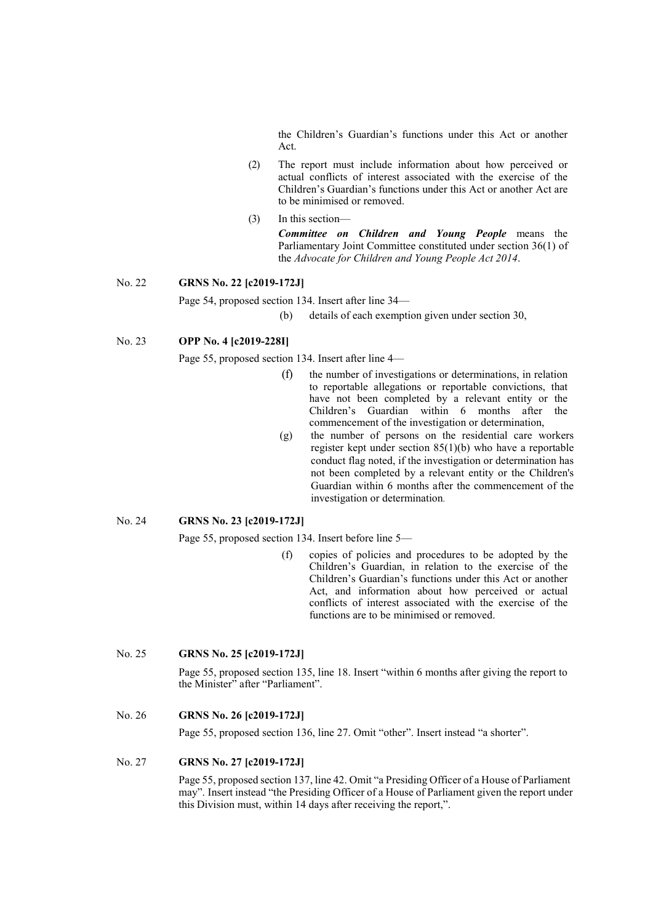the Children's Guardian's functions under this Act or another Act.

- (2) The report must include information about how perceived or actual conflicts of interest associated with the exercise of the Children's Guardian's functions under this Act or another Act are to be minimised or removed.
- (3) In this section—

*Committee on Children and Young People* means the Parliamentary Joint Committee constituted under section 36(1) of the *Advocate for Children and Young People Act 2014*.

## No. 22 **GRNS No. 22 [c2019-172J]**

Page 54, proposed section 134. Insert after line 34—

(b) details of each exemption given under section 30,

### No. 23 **OPP No. 4 [c2019-228I]**

Page 55, proposed section 134. Insert after line 4—

- (f) the number of investigations or determinations, in relation to reportable allegations or reportable convictions, that have not been completed by a relevant entity or the Children's Guardian within 6 months after the commencement of the investigation or determination,
- (g) the number of persons on the residential care workers register kept under section 85(1)(b) who have a reportable conduct flag noted, if the investigation or determination has not been completed by a relevant entity or the Children's Guardian within 6 months after the commencement of the investigation or determination.

## No. 24 **GRNS No. 23 [c2019-172J]**

Page 55, proposed section 134. Insert before line 5—

(f) copies of policies and procedures to be adopted by the Children's Guardian, in relation to the exercise of the Children's Guardian's functions under this Act or another Act, and information about how perceived or actual conflicts of interest associated with the exercise of the functions are to be minimised or removed.

### No. 25 **GRNS No. 25 [c2019-172J]**

Page 55, proposed section 135, line 18. Insert "within 6 months after giving the report to the Minister" after "Parliament".

### No. 26 **GRNS No. 26 [c2019-172J]**

Page 55, proposed section 136, line 27. Omit "other". Insert instead "a shorter".

## No. 27 **GRNS No. 27 [c2019-172J]**

Page 55, proposed section 137, line 42. Omit "a Presiding Officer of a House of Parliament may". Insert instead "the Presiding Officer of a House of Parliament given the report under this Division must, within 14 days after receiving the report,".